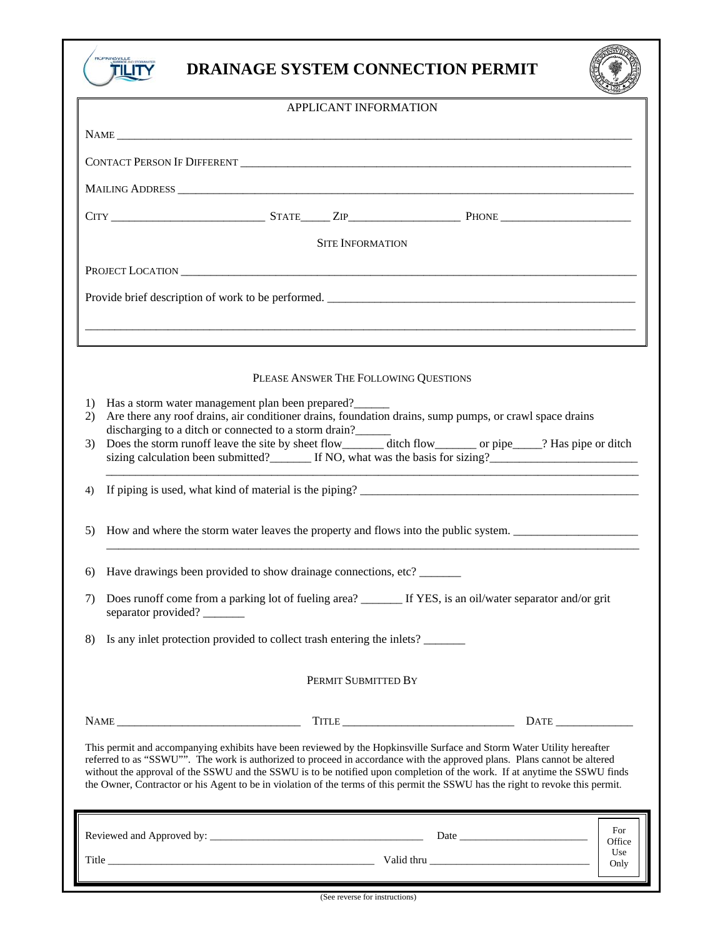

## **DRAINAGE SYSTEM CONNECTION PERMIT**



| APPLICANT INFORMATION                                                                                                                                                                                                                                                                                                                                                                                                                                                                                              |                                                                                                                                                                                                                                                                                                                                                                                                                                                                                        |
|--------------------------------------------------------------------------------------------------------------------------------------------------------------------------------------------------------------------------------------------------------------------------------------------------------------------------------------------------------------------------------------------------------------------------------------------------------------------------------------------------------------------|----------------------------------------------------------------------------------------------------------------------------------------------------------------------------------------------------------------------------------------------------------------------------------------------------------------------------------------------------------------------------------------------------------------------------------------------------------------------------------------|
|                                                                                                                                                                                                                                                                                                                                                                                                                                                                                                                    |                                                                                                                                                                                                                                                                                                                                                                                                                                                                                        |
|                                                                                                                                                                                                                                                                                                                                                                                                                                                                                                                    |                                                                                                                                                                                                                                                                                                                                                                                                                                                                                        |
|                                                                                                                                                                                                                                                                                                                                                                                                                                                                                                                    |                                                                                                                                                                                                                                                                                                                                                                                                                                                                                        |
|                                                                                                                                                                                                                                                                                                                                                                                                                                                                                                                    |                                                                                                                                                                                                                                                                                                                                                                                                                                                                                        |
| <b>SITE INFORMATION</b>                                                                                                                                                                                                                                                                                                                                                                                                                                                                                            |                                                                                                                                                                                                                                                                                                                                                                                                                                                                                        |
|                                                                                                                                                                                                                                                                                                                                                                                                                                                                                                                    |                                                                                                                                                                                                                                                                                                                                                                                                                                                                                        |
| Provide brief description of work to be performed.                                                                                                                                                                                                                                                                                                                                                                                                                                                                 |                                                                                                                                                                                                                                                                                                                                                                                                                                                                                        |
|                                                                                                                                                                                                                                                                                                                                                                                                                                                                                                                    |                                                                                                                                                                                                                                                                                                                                                                                                                                                                                        |
|                                                                                                                                                                                                                                                                                                                                                                                                                                                                                                                    |                                                                                                                                                                                                                                                                                                                                                                                                                                                                                        |
| PLEASE ANSWER THE FOLLOWING QUESTIONS                                                                                                                                                                                                                                                                                                                                                                                                                                                                              |                                                                                                                                                                                                                                                                                                                                                                                                                                                                                        |
| Has a storm water management plan been prepared?<br>1)                                                                                                                                                                                                                                                                                                                                                                                                                                                             |                                                                                                                                                                                                                                                                                                                                                                                                                                                                                        |
| Are there any roof drains, air conditioner drains, foundation drains, sump pumps, or crawl space drains<br>2)<br>discharging to a ditch or connected to a storm drain?                                                                                                                                                                                                                                                                                                                                             |                                                                                                                                                                                                                                                                                                                                                                                                                                                                                        |
| Does the storm runoff leave the site by sheet flow________ ditch flow________ or pipe____? Has pipe or ditch<br>3)                                                                                                                                                                                                                                                                                                                                                                                                 | sizing calculation been submitted? If NO, what was the basis for sizing?                                                                                                                                                                                                                                                                                                                                                                                                               |
| 4)                                                                                                                                                                                                                                                                                                                                                                                                                                                                                                                 |                                                                                                                                                                                                                                                                                                                                                                                                                                                                                        |
| How and where the storm water leaves the property and flows into the public system.<br>5)                                                                                                                                                                                                                                                                                                                                                                                                                          |                                                                                                                                                                                                                                                                                                                                                                                                                                                                                        |
| Have drawings been provided to show drainage connections, etc?<br>6)                                                                                                                                                                                                                                                                                                                                                                                                                                               |                                                                                                                                                                                                                                                                                                                                                                                                                                                                                        |
| Does runoff come from a parking lot of fueling area? _________ If YES, is an oil/water separator and/or grit<br>7)<br>separator provided?                                                                                                                                                                                                                                                                                                                                                                          |                                                                                                                                                                                                                                                                                                                                                                                                                                                                                        |
| Is any inlet protection provided to collect trash entering the inlets?<br>8)                                                                                                                                                                                                                                                                                                                                                                                                                                       |                                                                                                                                                                                                                                                                                                                                                                                                                                                                                        |
| PERMIT SUBMITTED BY                                                                                                                                                                                                                                                                                                                                                                                                                                                                                                |                                                                                                                                                                                                                                                                                                                                                                                                                                                                                        |
|                                                                                                                                                                                                                                                                                                                                                                                                                                                                                                                    | $\begin{tabular}{c}l@{}} \textbf{Tr}\textbf{LE} & \textcolor{red}{\textbf{111}} \textbf{121} & \textcolor{red}{\textbf{122}} \textbf{131} & \textcolor{red}{\textbf{133}} \textbf{141} \\ \textbf{131} & \textcolor{red}{\textbf{133}} & \textcolor{red}{\textbf{133}} & \textcolor{red}{\textbf{133}} & \textcolor{red}{\textbf{133}} & \textcolor{red}{\textbf{133}} \\ \textbf{141} & \textcolor{red}{\textbf{133}} & \textcolor{red}{\textbf{133}} & \textcolor{$<br>$\text{DATE}$ |
| This permit and accompanying exhibits have been reviewed by the Hopkinsville Surface and Storm Water Utility hereafter<br>referred to as "SSWU"". The work is authorized to proceed in accordance with the approved plans. Plans cannot be altered<br>without the approval of the SSWU and the SSWU is to be notified upon completion of the work. If at anytime the SSWU finds<br>the Owner, Contractor or his Agent to be in violation of the terms of this permit the SSWU has the right to revoke this permit. |                                                                                                                                                                                                                                                                                                                                                                                                                                                                                        |
|                                                                                                                                                                                                                                                                                                                                                                                                                                                                                                                    | For                                                                                                                                                                                                                                                                                                                                                                                                                                                                                    |
|                                                                                                                                                                                                                                                                                                                                                                                                                                                                                                                    | Office<br>Use<br>Only                                                                                                                                                                                                                                                                                                                                                                                                                                                                  |